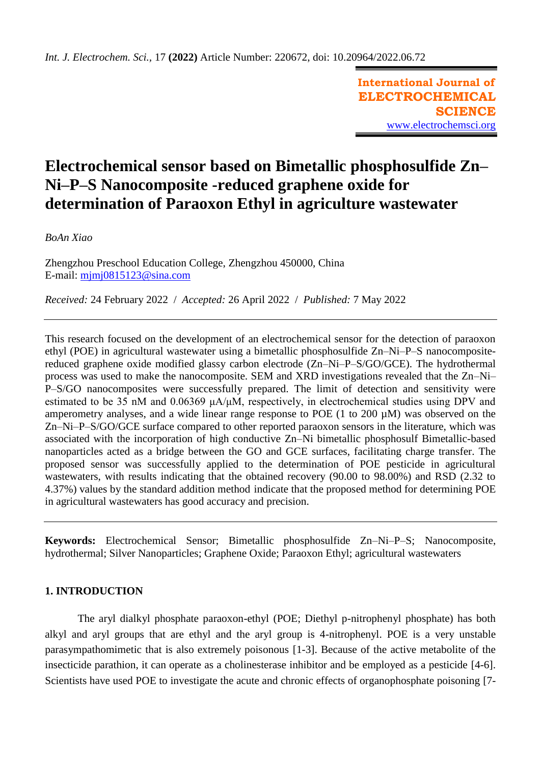**International Journal of ELECTROCHEMICAL SCIENCE** [www.electrochemsci.org](http://www.electrochemsci.org/)

# **Electrochemical sensor based on Bimetallic phosphosulfide Zn– Ni–P–S Nanocomposite -reduced graphene oxide for determination of Paraoxon Ethyl in agriculture wastewater**

*BoAn Xiao*

Zhengzhou Preschool Education College, Zhengzhou 450000, China E-mail: [mjmj0815123@sina.com](mailto:mjmj0815123@sina.com)

*Received:* 24 February 2022/ *Accepted:* 26 April 2022 / *Published:* 7 May 2022

This research focused on the development of an electrochemical sensor for the detection of paraoxon ethyl (POE) in agricultural wastewater using a bimetallic phosphosulfide Zn–Ni–P–S nanocompositereduced graphene oxide modified glassy carbon electrode (Zn–Ni–P–S/GO/GCE). The hydrothermal process was used to make the nanocomposite. SEM and XRD investigations revealed that the Zn–Ni– P–S/GO nanocomposites were successfully prepared. The limit of detection and sensitivity were estimated to be 35 nM and 0.06369 μA/μM, respectively, in electrochemical studies using DPV and amperometry analyses, and a wide linear range response to POE (1 to 200 µM) was observed on the Zn–Ni–P–S/GO/GCE surface compared to other reported paraoxon sensors in the literature, which was associated with the incorporation of high conductive Zn–Ni bimetallic phosphosulf Bimetallic-based nanoparticles acted as a bridge between the GO and GCE surfaces, facilitating charge transfer. The proposed sensor was successfully applied to the determination of POE pesticide in agricultural wastewaters, with results indicating that the obtained recovery (90.00 to 98.00%) and RSD (2.32 to 4.37%) values by the standard addition method indicate that the proposed method for determining POE in agricultural wastewaters has good accuracy and precision.

**Keywords:** Electrochemical Sensor; Bimetallic phosphosulfide Zn–Ni–P–S; Nanocomposite, hydrothermal; Silver Nanoparticles; Graphene Oxide; Paraoxon Ethyl; agricultural wastewaters

## **1. INTRODUCTION**

The aryl dialkyl phosphate paraoxon-ethyl (POE; Diethyl p-nitrophenyl phosphate) has both alkyl and aryl groups that are ethyl and the aryl group is 4-nitrophenyl. POE is a very unstable parasympathomimetic that is also extremely poisonous [\[1-3\]](#page-8-0). Because of the active metabolite of the insecticide parathion, it can operate as a cholinesterase inhibitor and be employed as a pesticide [\[4-6\]](#page-8-1). Scientists have used POE to investigate the acute and chronic effects of organophosphate poisoning [\[7-](#page-8-2)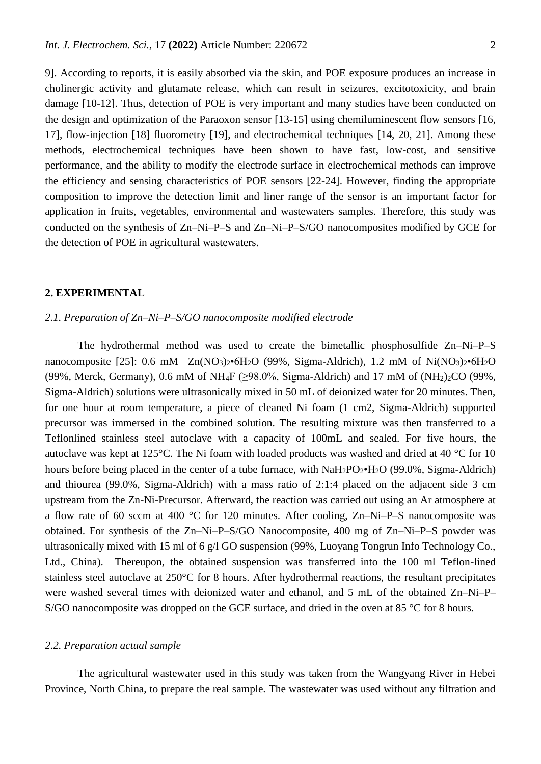[9\]](#page-8-2). According to reports, it is easily absorbed via the skin, and POE exposure produces an increase in cholinergic activity and glutamate release, which can result in seizures, excitotoxicity, and brain damage [\[10-12\]](#page-8-3). Thus, detection of POE is very important and many studies have been conducted on the design and optimization of the Paraoxon sensor [\[13-15\]](#page-8-4) using chemiluminescent flow sensors [\[16,](#page-8-5) [17\]](#page-8-6), flow-injection [\[18\]](#page-8-7) fluorometry [\[19\]](#page-9-0), and electrochemical techniques [\[14,](#page-8-8) [20,](#page-9-1) [21\]](#page-9-2). Among these methods, electrochemical techniques have been shown to have fast, low-cost, and sensitive performance, and the ability to modify the electrode surface in electrochemical methods can improve the efficiency and sensing characteristics of POE sensors [\[22-24\]](#page-9-3). However, finding the appropriate composition to improve the detection limit and liner range of the sensor is an important factor for application in fruits, vegetables, environmental and wastewaters samples. Therefore, this study was conducted on the synthesis of Zn–Ni–P–S and Zn–Ni–P–S/GO nanocomposites modified by GCE for the detection of POE in agricultural wastewaters.

#### **2. EXPERIMENTAL**

#### *2.1. Preparation of Zn–Ni–P–S/GO nanocomposite modified electrode*

The hydrothermal method was used to create the bimetallic phosphosulfide Zn–Ni–P–S nanocomposite [\[25\]](#page-9-4): 0.6 mM  $Zn(NO<sub>3</sub>)<sub>2</sub>•6H<sub>2</sub>O$  (99%, Sigma-Aldrich), 1.2 mM of Ni $(NO<sub>3</sub>)<sub>2</sub>•6H<sub>2</sub>O$ (99%, Merck, Germany), 0.6 mM of NH<sub>4</sub>F ( $\geq$ 98.0%, Sigma-Aldrich) and 17 mM of (NH<sub>2</sub>)<sub>2</sub>CO (99%, Sigma-Aldrich) solutions were ultrasonically mixed in 50 mL of deionized water for 20 minutes. Then, for one hour at room temperature, a piece of cleaned Ni foam (1 cm2, Sigma-Aldrich) supported precursor was immersed in the combined solution. The resulting mixture was then transferred to a Teflonlined stainless steel autoclave with a capacity of 100mL and sealed. For five hours, the autoclave was kept at 125°C. The Ni foam with loaded products was washed and dried at 40 °C for 10 hours before being placed in the center of a tube furnace, with  $NaH_2PO_2\bullet H_2O$  (99.0%, Sigma-Aldrich) and thiourea (99.0%, Sigma-Aldrich) with a mass ratio of 2:1:4 placed on the adjacent side 3 cm upstream from the Zn-Ni-Precursor. Afterward, the reaction was carried out using an Ar atmosphere at a flow rate of 60 sccm at 400 °C for 120 minutes. After cooling, Zn–Ni–P–S nanocomposite was obtained. For synthesis of the Zn–Ni–P–S/GO Nanocomposite, 400 mg of Zn–Ni–P–S powder was ultrasonically mixed with 15 ml of 6 g/l GO suspension (99%, Luoyang Tongrun Info Technology Co., Ltd., China). Thereupon, the obtained suspension was transferred into the 100 ml Teflon-lined stainless steel autoclave at 250°C for 8 hours. After hydrothermal reactions, the resultant precipitates were washed several times with deionized water and ethanol, and 5 mL of the obtained Zn–Ni–P– S/GO nanocomposite was dropped on the GCE surface, and dried in the oven at 85 °C for 8 hours.

#### *2.2. Preparation actual sample*

The agricultural wastewater used in this study was taken from the Wangyang River in Hebei Province, North China, to prepare the real sample. The wastewater was used without any filtration and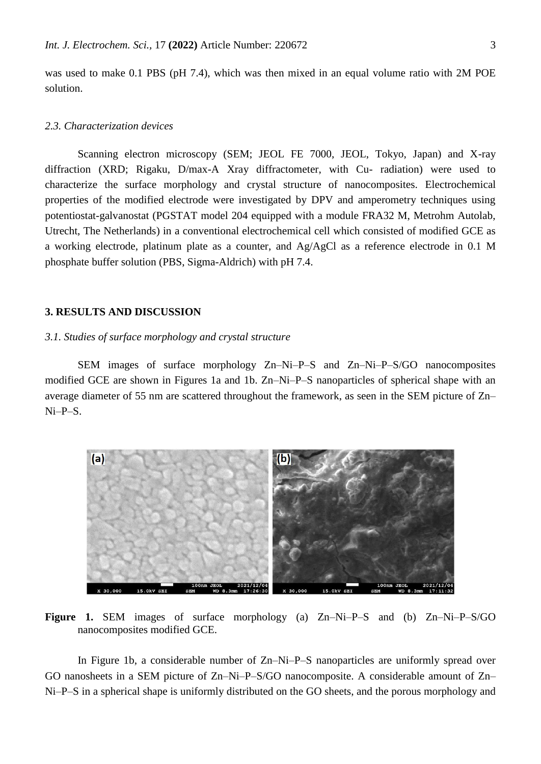was used to make 0.1 PBS (pH 7.4), which was then mixed in an equal volume ratio with 2M POE solution.

## *2.3. Characterization devices*

Scanning electron microscopy (SEM; JEOL FE 7000, JEOL, Tokyo, Japan) and X-ray diffraction (XRD; Rigaku, D/max-A Xray diffractometer, with Cu- radiation) were used to characterize the surface morphology and crystal structure of nanocomposites. Electrochemical properties of the modified electrode were investigated by DPV and amperometry techniques using potentiostat-galvanostat (PGSTAT model 204 equipped with a module FRA32 M, Metrohm Autolab, Utrecht, The Netherlands) in a conventional electrochemical cell which consisted of modified GCE as a working electrode, platinum plate as a counter, and Ag/AgCl as a reference electrode in 0.1 M phosphate buffer solution (PBS, Sigma-Aldrich) with pH 7.4.

#### **3. RESULTS AND DISCUSSION**

### *3.1. Studies of surface morphology and crystal structure*

SEM images of surface morphology Zn–Ni–P–S and Zn–Ni–P–S/GO nanocomposites modified GCE are shown in Figures 1a and 1b. Zn–Ni–P–S nanoparticles of spherical shape with an average diameter of 55 nm are scattered throughout the framework, as seen in the SEM picture of Zn– Ni–P–S.



**Figure 1.** SEM images of surface morphology (a) Zn–Ni–P–S and (b) Zn–Ni–P–S/GO nanocomposites modified GCE.

In Figure 1b, a considerable number of Zn–Ni–P–S nanoparticles are uniformly spread over GO nanosheets in a SEM picture of Zn–Ni–P–S/GO nanocomposite. A considerable amount of Zn– Ni–P–S in a spherical shape is uniformly distributed on the GO sheets, and the porous morphology and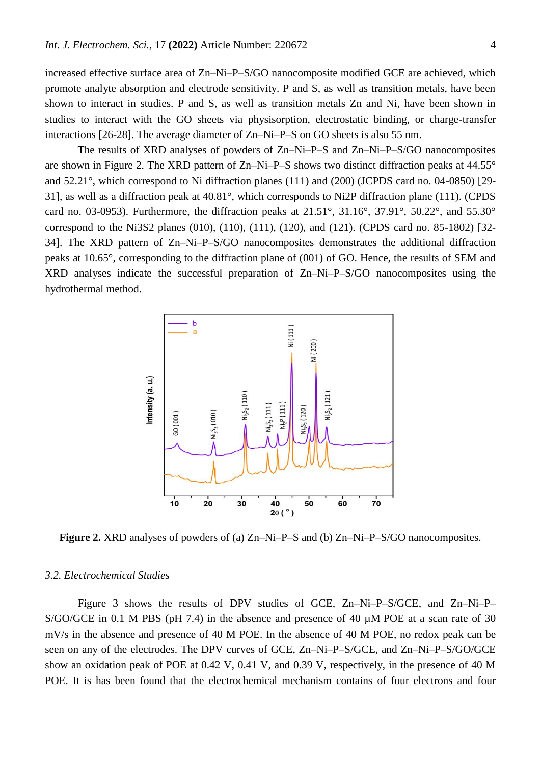increased effective surface area of Zn–Ni–P–S/GO nanocomposite modified GCE are achieved, which promote analyte absorption and electrode sensitivity. P and S, as well as transition metals, have been shown to interact in studies. P and S, as well as transition metals Zn and Ni, have been shown in studies to interact with the GO sheets via physisorption, electrostatic binding, or charge-transfer interactions [\[26-28\]](#page-9-5). The average diameter of Zn–Ni–P–S on GO sheets is also 55 nm.

The results of XRD analyses of powders of Zn–Ni–P–S and Zn–Ni–P–S/GO nanocomposites are shown in Figure 2. The XRD pattern of Zn–Ni–P–S shows two distinct diffraction peaks at 44.55° and 52.21°, which correspond to Ni diffraction planes (111) and (200) (JCPDS card no. 04-0850) [\[29-](#page-9-6) [31\]](#page-9-6), as well as a diffraction peak at 40.81°, which corresponds to Ni2P diffraction plane (111). (CPDS card no. 03-0953). Furthermore, the diffraction peaks at 21.51°, 31.16°, 37.91°, 50.22°, and 55.30° correspond to the Ni3S2 planes (010), (110), (111), (120), and (121). (CPDS card no. 85-1802) [\[32-](#page-9-7) [34\]](#page-9-7). The XRD pattern of Zn–Ni–P–S/GO nanocomposites demonstrates the additional diffraction peaks at 10.65°, corresponding to the diffraction plane of (001) of GO. Hence, the results of SEM and XRD analyses indicate the successful preparation of Zn–Ni–P–S/GO nanocomposites using the hydrothermal method.



**Figure 2.** XRD analyses of powders of (a) Zn–Ni–P–S and (b) Zn–Ni–P–S/GO nanocomposites.

#### *3.2. Electrochemical Studies*

Figure 3 shows the results of DPV studies of GCE, Zn–Ni–P–S/GCE, and Zn–Ni–P– S/GO/GCE in 0.1 M PBS (pH 7.4) in the absence and presence of 40  $\mu$ M POE at a scan rate of 30 mV/s in the absence and presence of 40 M POE. In the absence of 40 M POE, no redox peak can be seen on any of the electrodes. The DPV curves of GCE, Zn–Ni–P–S/GCE, and Zn–Ni–P–S/GO/GCE show an oxidation peak of POE at 0.42 V, 0.41 V, and 0.39 V, respectively, in the presence of 40 M POE. It is has been found that the electrochemical mechanism contains of four electrons and four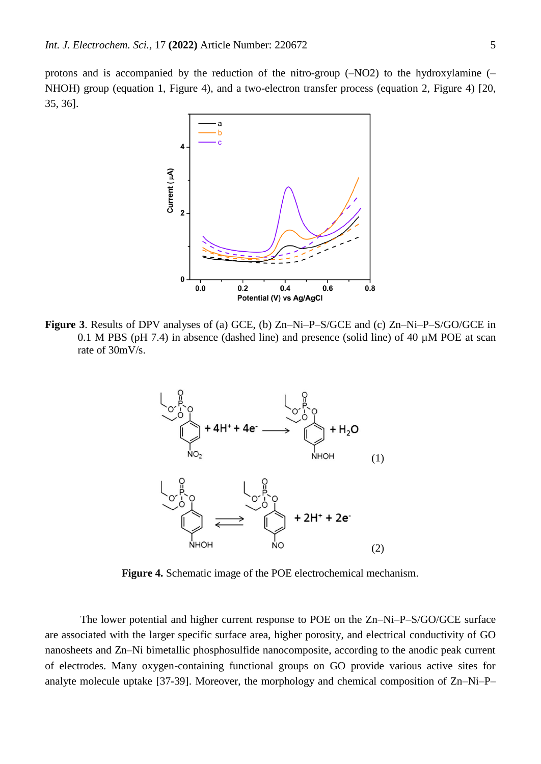protons and is accompanied by the reduction of the nitro-group (–NO2) to the hydroxylamine (– NHOH) group (equation 1, Figure 4), and a two-electron transfer process (equation 2, Figure 4) [\[20,](#page-9-1) [35,](#page-9-8) [36\]](#page-9-9).



**Figure 3**. Results of DPV analyses of (a) GCE, (b) Zn–Ni–P–S/GCE and (c) Zn–Ni–P–S/GO/GCE in 0.1 M PBS (pH 7.4) in absence (dashed line) and presence (solid line) of 40 µM POE at scan rate of 30mV/s.



**Figure 4.** Schematic image of the POE electrochemical mechanism.

The lower potential and higher current response to POE on the Zn–Ni–P–S/GO/GCE surface are associated with the larger specific surface area, higher porosity, and electrical conductivity of GO nanosheets and Zn–Ni bimetallic phosphosulfide nanocomposite, according to the anodic peak current of electrodes. Many oxygen-containing functional groups on GO provide various active sites for analyte molecule uptake [\[37-39\]](#page-9-10). Moreover, the morphology and chemical composition of Zn–Ni–P–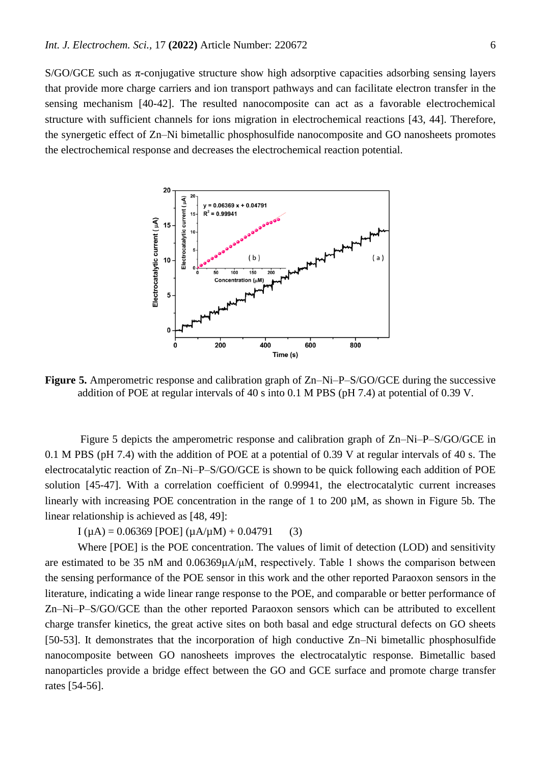S/GO/GCE such as  $\pi$ -conjugative structure show high adsorptive capacities adsorbing sensing layers that provide more charge carriers and ion transport pathways and can facilitate electron transfer in the sensing mechanism [\[40-42\]](#page-9-11). The resulted nanocomposite can act as a favorable electrochemical structure with sufficient channels for ions migration in electrochemical reactions [\[43,](#page-9-12) [44\]](#page-9-13). Therefore, the synergetic effect of Zn–Ni bimetallic phosphosulfide nanocomposite and GO nanosheets promotes the electrochemical response and decreases the electrochemical reaction potential.



**Figure 5.** Amperometric response and calibration graph of Zn–Ni–P–S/GO/GCE during the successive addition of POE at regular intervals of 40 s into 0.1 M PBS (pH 7.4) at potential of 0.39 V.

Figure 5 depicts the amperometric response and calibration graph of Zn–Ni–P–S/GO/GCE in 0.1 M PBS (pH 7.4) with the addition of POE at a potential of 0.39 V at regular intervals of 40 s. The electrocatalytic reaction of Zn–Ni–P–S/GO/GCE is shown to be quick following each addition of POE solution [\[45-47\]](#page-10-0). With a correlation coefficient of 0.99941, the electrocatalytic current increases linearly with increasing POE concentration in the range of 1 to 200 µM, as shown in Figure 5b. The linear relationship is achieved as [\[48,](#page-10-1) [49\]](#page-10-2):

 $I(\mu A) = 0.06369$  [POE]  $(\mu A/\mu M) + 0.04791$  (3)

Where [POE] is the POE concentration. The values of limit of detection (LOD) and sensitivity are estimated to be 35 nM and 0.06369μA/μM, respectively. Table 1 shows the comparison between the sensing performance of the POE sensor in this work and the other reported Paraoxon sensors in the literature, indicating a wide linear range response to the POE, and comparable or better performance of Zn–Ni–P–S/GO/GCE than the other reported Paraoxon sensors which can be attributed to excellent charge transfer kinetics, the great active sites on both basal and edge structural defects on GO sheets [\[50-53\]](#page-10-3). It demonstrates that the incorporation of high conductive Zn–Ni bimetallic phosphosulfide nanocomposite between GO nanosheets improves the electrocatalytic response. Bimetallic based nanoparticles provide a bridge effect between the GO and GCE surface and promote charge transfer rates [\[54-56\]](#page-10-4).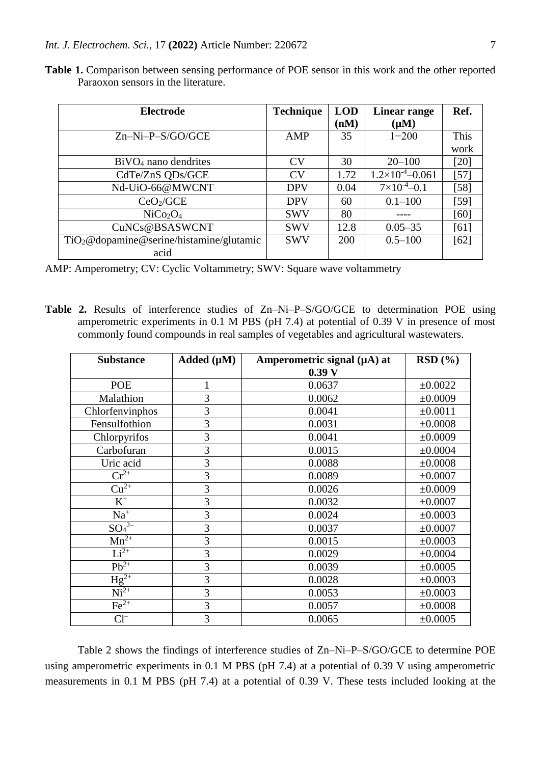| <b>Electrode</b>                             | <b>Technique</b> | <b>LOD</b> | <b>Linear range</b>        | Ref.        |
|----------------------------------------------|------------------|------------|----------------------------|-------------|
|                                              |                  | (nM)       | $(\mu M)$                  |             |
| $Zn-Ni-P-S/GO/GCE$                           | AMP              | 35         | $1 - 200$                  | <b>This</b> |
|                                              |                  |            |                            | work        |
| $BiVO4$ nano dendrites                       | <b>CV</b>        | 30         | $20 - 100$                 | [20]        |
| CdTe/ZnS QDs/GCE                             | <b>CV</b>        | 1.72       | $1.2\times10^{-4} - 0.061$ | $[57]$      |
| Nd-UiO-66@MWCNT                              | <b>DPV</b>       | 0.04       | $7\times10^{-4} - 0.1$     | $[58]$      |
| CeO <sub>2</sub> /GCE                        | <b>DPV</b>       | 60         | $0.1 - 100$                | [59]        |
| NiCo <sub>2</sub> O <sub>4</sub>             | <b>SWV</b>       | 80         |                            | [60]        |
| CuNCs@BSASWCNT                               | <b>SWV</b>       | 12.8       | $0.05 - 35$                | [61]        |
| $TiO2@do$ pamine @ serine/histamine/glutamic | <b>SWV</b>       | 200        | $0.5 - 100$                | [62]        |
| acid                                         |                  |            |                            |             |

**Table 1.** Comparison between sensing performance of POE sensor in this work and the other reported Paraoxon sensors in the literature.

AMP: Amperometry; CV: Cyclic Voltammetry; SWV: Square wave voltammetry

**Table 2.** Results of interference studies of Zn–Ni–P–S/GO/GCE to determination POE using amperometric experiments in 0.1 M PBS (pH 7.4) at potential of 0.39 V in presence of most commonly found compounds in real samples of vegetables and agricultural wastewaters.

| <b>Substance</b>               | Added $(\mu M)$ | Amperometric signal (µA) at | RSD(%)  |
|--------------------------------|-----------------|-----------------------------|---------|
|                                |                 | 0.39 <sub>V</sub>           |         |
| POE                            |                 | 0.0637                      | ±0.0022 |
| Malathion                      | 3               | 0.0062                      | ±0.0009 |
| Chlorfenvinphos                | 3               | 0.0041                      | ±0.0011 |
| Fensulfothion                  | 3               | 0.0031                      | ±0.0008 |
| Chlorpyrifos                   | 3               | 0.0041                      | ±0.0009 |
| Carbofuran                     | 3               | 0.0015                      | ±0.0004 |
| Uric acid                      | 3               | 0.0088                      | ±0.0008 |
| $Cr^{2+}$                      | 3               | 0.0089                      | ±0.0007 |
| $Cu2+$                         | 3               | 0.0026                      | ±0.0009 |
| $\rm K^+$                      | 3               | 0.0032                      | ±0.0007 |
| $\mathrm{Na}^+$                | 3               | 0.0024                      | ±0.0003 |
| $\overline{{\rm SO}_4{}^{2-}}$ | 3               | 0.0037                      | ±0.0007 |
| $\overline{\mathrm{Mn}^{2+}}$  | 3               | 0.0015                      | ±0.0003 |
| $Li2+$                         | 3               | 0.0029                      | ±0.0004 |
| $Pb^{2+}$                      | 3               | 0.0039                      | ±0.0005 |
| $Hg^{2+}$                      | 3               | 0.0028                      | ±0.0003 |
| $Ni2+$                         | 3               | 0.0053                      | ±0.0003 |
| $Fe2+$                         | 3               | 0.0057                      | ±0.0008 |
| $Cl^{-}$                       | 3               | 0.0065                      | ±0.0005 |

Table 2 shows the findings of interference studies of Zn–Ni–P–S/GO/GCE to determine POE using amperometric experiments in 0.1 M PBS (pH 7.4) at a potential of 0.39 V using amperometric measurements in 0.1 M PBS (pH 7.4) at a potential of 0.39 V. These tests included looking at the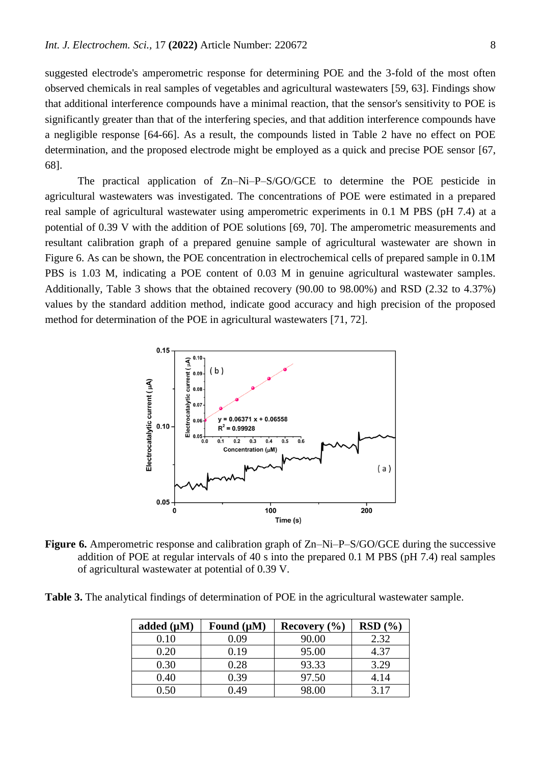suggested electrode's amperometric response for determining POE and the 3-fold of the most often observed chemicals in real samples of vegetables and agricultural wastewaters [\[59,](#page-10-7) [63\]](#page-10-11). Findings show that additional interference compounds have a minimal reaction, that the sensor's sensitivity to POE is significantly greater than that of the interfering species, and that addition interference compounds have a negligible response [\[64-66\]](#page-10-12). As a result, the compounds listed in Table 2 have no effect on POE determination, and the proposed electrode might be employed as a quick and precise POE sensor [\[67,](#page-10-13) [68\]](#page-10-14).

The practical application of Zn–Ni–P–S/GO/GCE to determine the POE pesticide in agricultural wastewaters was investigated. The concentrations of POE were estimated in a prepared real sample of agricultural wastewater using amperometric experiments in 0.1 M PBS (pH 7.4) at a potential of 0.39 V with the addition of POE solutions [\[69,](#page-10-15) [70\]](#page-10-16). The amperometric measurements and resultant calibration graph of a prepared genuine sample of agricultural wastewater are shown in Figure 6. As can be shown, the POE concentration in electrochemical cells of prepared sample in 0.1M PBS is 1.03 M, indicating a POE content of 0.03 M in genuine agricultural wastewater samples. Additionally, Table 3 shows that the obtained recovery (90.00 to 98.00%) and RSD (2.32 to 4.37%) values by the standard addition method, indicate good accuracy and high precision of the proposed method for determination of the POE in agricultural wastewaters [\[71,](#page-10-17) [72\]](#page-11-0).



**Figure 6.** Amperometric response and calibration graph of Zn–Ni–P–S/GO/GCE during the successive addition of POE at regular intervals of 40 s into the prepared 0.1 M PBS (pH 7.4) real samples of agricultural wastewater at potential of 0.39 V.

**Table 3.** The analytical findings of determination of POE in the agricultural wastewater sample.

| added $(\mu M)$ | Found $(\mu M)$ | Recovery $(\% )$ | RSD(%) |
|-----------------|-----------------|------------------|--------|
| $0.10\,$        | 0.09            | 90.00            | 2.32   |
| $0.20\,$        | 0.19            | 95.00            | 4.37   |
| 0.30            | 0.28            | 93.33            | 3.29   |
| 0.40            | 0.39            | 97.50            | 4.14   |
|                 | ).49            | 98.00            | 3 1 7  |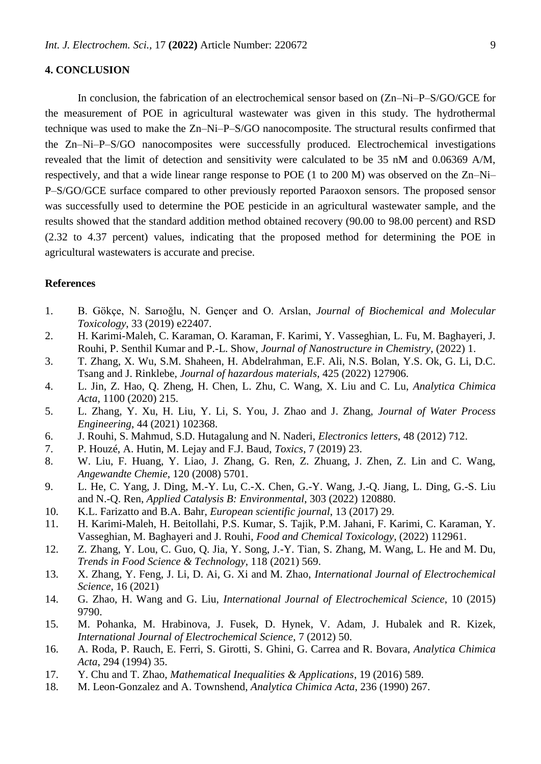## **4. CONCLUSION**

In conclusion, the fabrication of an electrochemical sensor based on (Zn–Ni–P–S/GO/GCE for the measurement of POE in agricultural wastewater was given in this study. The hydrothermal technique was used to make the Zn–Ni–P–S/GO nanocomposite. The structural results confirmed that the Zn–Ni–P–S/GO nanocomposites were successfully produced. Electrochemical investigations revealed that the limit of detection and sensitivity were calculated to be 35 nM and 0.06369 A/M, respectively, and that a wide linear range response to POE (1 to 200 M) was observed on the Zn–Ni– P–S/GO/GCE surface compared to other previously reported Paraoxon sensors. The proposed sensor was successfully used to determine the POE pesticide in an agricultural wastewater sample, and the results showed that the standard addition method obtained recovery (90.00 to 98.00 percent) and RSD (2.32 to 4.37 percent) values, indicating that the proposed method for determining the POE in agricultural wastewaters is accurate and precise.

## **References**

- <span id="page-8-0"></span>1. B. Gökçe, N. Sarıoğlu, N. Gençer and O. Arslan, *Journal of Biochemical and Molecular Toxicology*, 33 (2019) e22407.
- 2. H. Karimi-Maleh, C. Karaman, O. Karaman, F. Karimi, Y. Vasseghian, L. Fu, M. Baghayeri, J. Rouhi, P. Senthil Kumar and P.-L. Show, *Journal of Nanostructure in Chemistry*, (2022) 1.
- 3. T. Zhang, X. Wu, S.M. Shaheen, H. Abdelrahman, E.F. Ali, N.S. Bolan, Y.S. Ok, G. Li, D.C. Tsang and J. Rinklebe, *Journal of hazardous materials*, 425 (2022) 127906.
- <span id="page-8-1"></span>4. L. Jin, Z. Hao, Q. Zheng, H. Chen, L. Zhu, C. Wang, X. Liu and C. Lu, *Analytica Chimica Acta*, 1100 (2020) 215.
- 5. L. Zhang, Y. Xu, H. Liu, Y. Li, S. You, J. Zhao and J. Zhang, *Journal of Water Process Engineering*, 44 (2021) 102368.
- 6. J. Rouhi, S. Mahmud, S.D. Hutagalung and N. Naderi, *Electronics letters*, 48 (2012) 712.
- <span id="page-8-2"></span>7. P. Houzé, A. Hutin, M. Lejay and F.J. Baud, *Toxics*, 7 (2019) 23.
- 8. W. Liu, F. Huang, Y. Liao, J. Zhang, G. Ren, Z. Zhuang, J. Zhen, Z. Lin and C. Wang, *Angewandte Chemie*, 120 (2008) 5701.
- 9. L. He, C. Yang, J. Ding, M.-Y. Lu, C.-X. Chen, G.-Y. Wang, J.-Q. Jiang, L. Ding, G.-S. Liu and N.-Q. Ren, *Applied Catalysis B: Environmental*, 303 (2022) 120880.
- <span id="page-8-3"></span>10. K.L. Farizatto and B.A. Bahr, *European scientific journal*, 13 (2017) 29.
- 11. H. Karimi-Maleh, H. Beitollahi, P.S. Kumar, S. Tajik, P.M. Jahani, F. Karimi, C. Karaman, Y. Vasseghian, M. Baghayeri and J. Rouhi, *Food and Chemical Toxicology*, (2022) 112961.
- 12. Z. Zhang, Y. Lou, C. Guo, Q. Jia, Y. Song, J.-Y. Tian, S. Zhang, M. Wang, L. He and M. Du, *Trends in Food Science & Technology*, 118 (2021) 569.
- <span id="page-8-4"></span>13. X. Zhang, Y. Feng, J. Li, D. Ai, G. Xi and M. Zhao, *International Journal of Electrochemical Science*, 16 (2021)
- <span id="page-8-8"></span>14. G. Zhao, H. Wang and G. Liu, *International Journal of Electrochemical Science*, 10 (2015) 9790.
- 15. M. Pohanka, M. Hrabinova, J. Fusek, D. Hynek, V. Adam, J. Hubalek and R. Kizek, *International Journal of Electrochemical Science*, 7 (2012) 50.
- <span id="page-8-5"></span>16. A. Roda, P. Rauch, E. Ferri, S. Girotti, S. Ghini, G. Carrea and R. Bovara, *Analytica Chimica Acta*, 294 (1994) 35.
- <span id="page-8-6"></span>17. Y. Chu and T. Zhao, *Mathematical Inequalities & Applications*, 19 (2016) 589.
- <span id="page-8-7"></span>18. M. Leon-Gonzalez and A. Townshend, *Analytica Chimica Acta*, 236 (1990) 267.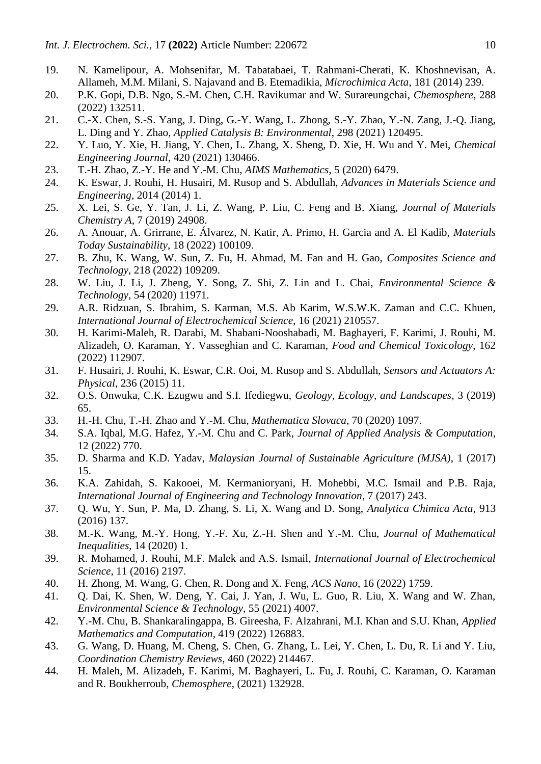- <span id="page-9-0"></span>19. N. Kamelipour, A. Mohsenifar, M. Tabatabaei, T. Rahmani-Cherati, K. Khoshnevisan, A. Allameh, M.M. Milani, S. Najavand and B. Etemadikia, *Microchimica Acta*, 181 (2014) 239.
- <span id="page-9-1"></span>20. P.K. Gopi, D.B. Ngo, S.-M. Chen, C.H. Ravikumar and W. Surareungchai, *Chemosphere*, 288 (2022) 132511.
- <span id="page-9-2"></span>21. C.-X. Chen, S.-S. Yang, J. Ding, G.-Y. Wang, L. Zhong, S.-Y. Zhao, Y.-N. Zang, J.-Q. Jiang, L. Ding and Y. Zhao, *Applied Catalysis B: Environmental*, 298 (2021) 120495.
- <span id="page-9-3"></span>22. Y. Luo, Y. Xie, H. Jiang, Y. Chen, L. Zhang, X. Sheng, D. Xie, H. Wu and Y. Mei, *Chemical Engineering Journal*, 420 (2021) 130466.
- 23. T.-H. Zhao, Z.-Y. He and Y.-M. Chu, *AIMS Mathematics*, 5 (2020) 6479.
- 24. K. Eswar, J. Rouhi, H. Husairi, M. Rusop and S. Abdullah, *Advances in Materials Science and Engineering*, 2014 (2014) 1.
- <span id="page-9-4"></span>25. X. Lei, S. Ge, Y. Tan, J. Li, Z. Wang, P. Liu, C. Feng and B. Xiang, *Journal of Materials Chemistry A*, 7 (2019) 24908.
- <span id="page-9-5"></span>26. A. Anouar, A. Grirrane, E. Álvarez, N. Katir, A. Primo, H. Garcia and A. El Kadib, *Materials Today Sustainability*, 18 (2022) 100109.
- 27. B. Zhu, K. Wang, W. Sun, Z. Fu, H. Ahmad, M. Fan and H. Gao, *Composites Science and Technology*, 218 (2022) 109209.
- 28. W. Liu, J. Li, J. Zheng, Y. Song, Z. Shi, Z. Lin and L. Chai, *Environmental Science & Technology*, 54 (2020) 11971.
- <span id="page-9-6"></span>29. A.R. Ridzuan, S. Ibrahim, S. Karman, M.S. Ab Karim, W.S.W.K. Zaman and C.C. Khuen, *International Journal of Electrochemical Science*, 16 (2021) 210557.
- 30. H. Karimi-Maleh, R. Darabi, M. Shabani-Nooshabadi, M. Baghayeri, F. Karimi, J. Rouhi, M. Alizadeh, O. Karaman, Y. Vasseghian and C. Karaman, *Food and Chemical Toxicology*, 162 (2022) 112907.
- 31. F. Husairi, J. Rouhi, K. Eswar, C.R. Ooi, M. Rusop and S. Abdullah, *Sensors and Actuators A: Physical*, 236 (2015) 11.
- <span id="page-9-7"></span>32. O.S. Onwuka, C.K. Ezugwu and S.I. Ifediegwu, *Geology, Ecology, and Landscapes*, 3 (2019) 65.
- 33. H.-H. Chu, T.-H. Zhao and Y.-M. Chu, *Mathematica Slovaca*, 70 (2020) 1097.
- 34. S.A. Iqbal, M.G. Hafez, Y.-M. Chu and C. Park, *Journal of Applied Analysis & Computation*, 12 (2022) 770.
- <span id="page-9-8"></span>35. D. Sharma and K.D. Yadav, *Malaysian Journal of Sustainable Agriculture (MJSA)*, 1 (2017) 15.
- <span id="page-9-9"></span>36. K.A. Zahidah, S. Kakooei, M. Kermanioryani, H. Mohebbi, M.C. Ismail and P.B. Raja, *International Journal of Engineering and Technology Innovation*, 7 (2017) 243.
- <span id="page-9-10"></span>37. Q. Wu, Y. Sun, P. Ma, D. Zhang, S. Li, X. Wang and D. Song, *Analytica Chimica Acta*, 913 (2016) 137.
- 38. M.-K. Wang, M.-Y. Hong, Y.-F. Xu, Z.-H. Shen and Y.-M. Chu, *Journal of Mathematical Inequalities*, 14 (2020) 1.
- 39. R. Mohamed, J. Rouhi, M.F. Malek and A.S. Ismail, *International Journal of Electrochemical Science*, 11 (2016) 2197.
- <span id="page-9-11"></span>40. H. Zhong, M. Wang, G. Chen, R. Dong and X. Feng, *ACS Nano*, 16 (2022) 1759.
- 41. Q. Dai, K. Shen, W. Deng, Y. Cai, J. Yan, J. Wu, L. Guo, R. Liu, X. Wang and W. Zhan, *Environmental Science & Technology*, 55 (2021) 4007.
- 42. Y.-M. Chu, B. Shankaralingappa, B. Gireesha, F. Alzahrani, M.I. Khan and S.U. Khan, *Applied Mathematics and Computation*, 419 (2022) 126883.
- <span id="page-9-12"></span>43. G. Wang, D. Huang, M. Cheng, S. Chen, G. Zhang, L. Lei, Y. Chen, L. Du, R. Li and Y. Liu, *Coordination Chemistry Reviews*, 460 (2022) 214467.
- <span id="page-9-13"></span>44. H. Maleh, M. Alizadeh, F. Karimi, M. Baghayeri, L. Fu, J. Rouhi, C. Karaman, O. Karaman and R. Boukherroub, *Chemosphere*, (2021) 132928.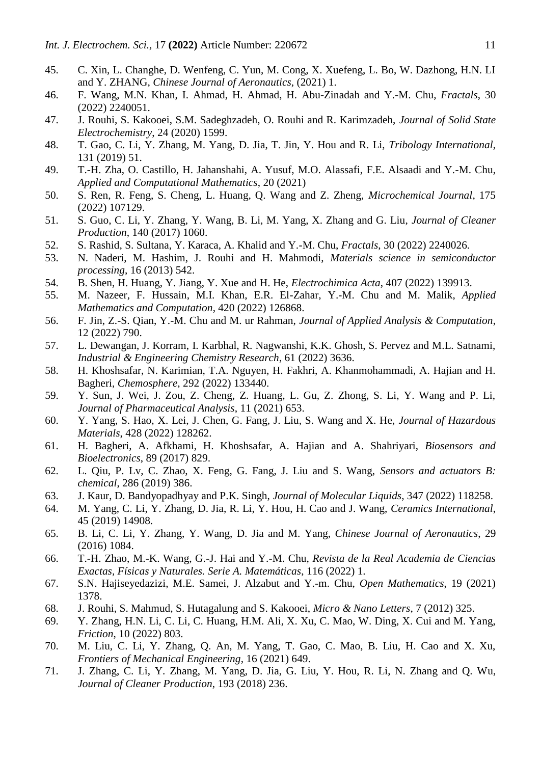- <span id="page-10-0"></span>45. C. Xin, L. Changhe, D. Wenfeng, C. Yun, M. Cong, X. Xuefeng, L. Bo, W. Dazhong, H.N. LI and Y. ZHANG, *Chinese Journal of Aeronautics*, (2021) 1.
- 46. F. Wang, M.N. Khan, I. Ahmad, H. Ahmad, H. Abu-Zinadah and Y.-M. Chu, *Fractals*, 30 (2022) 2240051.
- 47. J. Rouhi, S. Kakooei, S.M. Sadeghzadeh, O. Rouhi and R. Karimzadeh, *Journal of Solid State Electrochemistry*, 24 (2020) 1599.
- <span id="page-10-1"></span>48. T. Gao, C. Li, Y. Zhang, M. Yang, D. Jia, T. Jin, Y. Hou and R. Li, *Tribology International*, 131 (2019) 51.
- <span id="page-10-2"></span>49. T.-H. Zha, O. Castillo, H. Jahanshahi, A. Yusuf, M.O. Alassafi, F.E. Alsaadi and Y.-M. Chu, *Applied and Computational Mathematics*, 20 (2021)
- <span id="page-10-3"></span>50. S. Ren, R. Feng, S. Cheng, L. Huang, Q. Wang and Z. Zheng, *Microchemical Journal*, 175 (2022) 107129.
- 51. S. Guo, C. Li, Y. Zhang, Y. Wang, B. Li, M. Yang, X. Zhang and G. Liu, *Journal of Cleaner Production*, 140 (2017) 1060.
- 52. S. Rashid, S. Sultana, Y. Karaca, A. Khalid and Y.-M. Chu, *Fractals*, 30 (2022) 2240026.
- 53. N. Naderi, M. Hashim, J. Rouhi and H. Mahmodi, *Materials science in semiconductor processing*, 16 (2013) 542.
- <span id="page-10-4"></span>54. B. Shen, H. Huang, Y. Jiang, Y. Xue and H. He, *Electrochimica Acta*, 407 (2022) 139913.
- 55. M. Nazeer, F. Hussain, M.I. Khan, E.R. El-Zahar, Y.-M. Chu and M. Malik, *Applied Mathematics and Computation*, 420 (2022) 126868.
- 56. F. Jin, Z.-S. Qian, Y.-M. Chu and M. ur Rahman, *Journal of Applied Analysis & Computation*, 12 (2022) 790.
- <span id="page-10-5"></span>57. L. Dewangan, J. Korram, I. Karbhal, R. Nagwanshi, K.K. Ghosh, S. Pervez and M.L. Satnami, *Industrial & Engineering Chemistry Research*, 61 (2022) 3636.
- <span id="page-10-6"></span>58. H. Khoshsafar, N. Karimian, T.A. Nguyen, H. Fakhri, A. Khanmohammadi, A. Hajian and H. Bagheri, *Chemosphere*, 292 (2022) 133440.
- <span id="page-10-7"></span>59. Y. Sun, J. Wei, J. Zou, Z. Cheng, Z. Huang, L. Gu, Z. Zhong, S. Li, Y. Wang and P. Li, *Journal of Pharmaceutical Analysis*, 11 (2021) 653.
- <span id="page-10-8"></span>60. Y. Yang, S. Hao, X. Lei, J. Chen, G. Fang, J. Liu, S. Wang and X. He, *Journal of Hazardous Materials*, 428 (2022) 128262.
- <span id="page-10-9"></span>61. H. Bagheri, A. Afkhami, H. Khoshsafar, A. Hajian and A. Shahriyari, *Biosensors and Bioelectronics*, 89 (2017) 829.
- <span id="page-10-10"></span>62. L. Qiu, P. Lv, C. Zhao, X. Feng, G. Fang, J. Liu and S. Wang, *Sensors and actuators B: chemical*, 286 (2019) 386.
- <span id="page-10-11"></span>63. J. Kaur, D. Bandyopadhyay and P.K. Singh, *Journal of Molecular Liquids*, 347 (2022) 118258.
- <span id="page-10-12"></span>64. M. Yang, C. Li, Y. Zhang, D. Jia, R. Li, Y. Hou, H. Cao and J. Wang, *Ceramics International*, 45 (2019) 14908.
- 65. B. Li, C. Li, Y. Zhang, Y. Wang, D. Jia and M. Yang, *Chinese Journal of Aeronautics*, 29 (2016) 1084.
- 66. T.-H. Zhao, M.-K. Wang, G.-J. Hai and Y.-M. Chu, *Revista de la Real Academia de Ciencias Exactas, Físicas y Naturales. Serie A. Matemáticas*, 116 (2022) 1.
- <span id="page-10-13"></span>67. S.N. Hajiseyedazizi, M.E. Samei, J. Alzabut and Y.-m. Chu, *Open Mathematics*, 19 (2021) 1378.
- <span id="page-10-14"></span>68. J. Rouhi, S. Mahmud, S. Hutagalung and S. Kakooei, *Micro & Nano Letters*, 7 (2012) 325.
- <span id="page-10-15"></span>69. Y. Zhang, H.N. Li, C. Li, C. Huang, H.M. Ali, X. Xu, C. Mao, W. Ding, X. Cui and M. Yang, *Friction*, 10 (2022) 803.
- <span id="page-10-16"></span>70. M. Liu, C. Li, Y. Zhang, Q. An, M. Yang, T. Gao, C. Mao, B. Liu, H. Cao and X. Xu, *Frontiers of Mechanical Engineering*, 16 (2021) 649.
- <span id="page-10-17"></span>71. J. Zhang, C. Li, Y. Zhang, M. Yang, D. Jia, G. Liu, Y. Hou, R. Li, N. Zhang and Q. Wu, *Journal of Cleaner Production*, 193 (2018) 236.